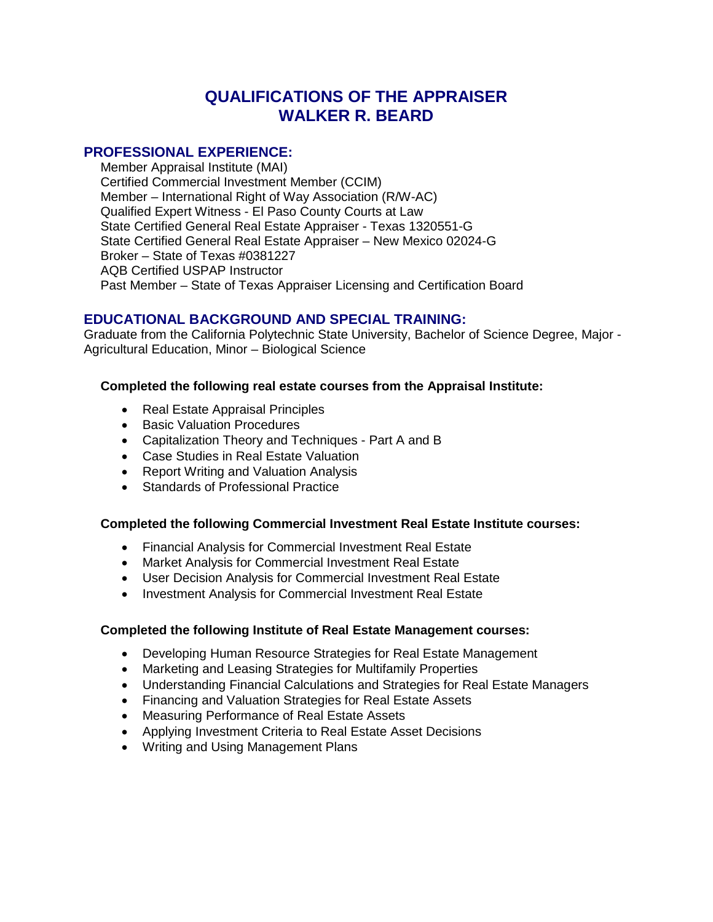# **QUALIFICATIONS OF THE APPRAISER WALKER R. BEARD**

#### **PROFESSIONAL EXPERIENCE:**

Member Appraisal Institute (MAI) Certified Commercial Investment Member (CCIM) Member – International Right of Way Association (R/W-AC) Qualified Expert Witness - El Paso County Courts at Law State Certified General Real Estate Appraiser - Texas 1320551-G State Certified General Real Estate Appraiser – New Mexico 02024-G Broker – State of Texas #0381227 AQB Certified USPAP Instructor Past Member – State of Texas Appraiser Licensing and Certification Board

# **EDUCATIONAL BACKGROUND AND SPECIAL TRAINING:**

Graduate from the California Polytechnic State University, Bachelor of Science Degree, Major - Agricultural Education, Minor – Biological Science

#### **Completed the following real estate courses from the Appraisal Institute:**

- Real Estate Appraisal Principles
- Basic Valuation Procedures
- Capitalization Theory and Techniques Part A and B
- Case Studies in Real Estate Valuation
- Report Writing and Valuation Analysis
- Standards of Professional Practice

#### **Completed the following Commercial Investment Real Estate Institute courses:**

- Financial Analysis for Commercial Investment Real Estate
- Market Analysis for Commercial Investment Real Estate
- User Decision Analysis for Commercial Investment Real Estate
- Investment Analysis for Commercial Investment Real Estate

#### **Completed the following Institute of Real Estate Management courses:**

- Developing Human Resource Strategies for Real Estate Management
- Marketing and Leasing Strategies for Multifamily Properties
- Understanding Financial Calculations and Strategies for Real Estate Managers
- Financing and Valuation Strategies for Real Estate Assets
- Measuring Performance of Real Estate Assets
- Applying Investment Criteria to Real Estate Asset Decisions
- Writing and Using Management Plans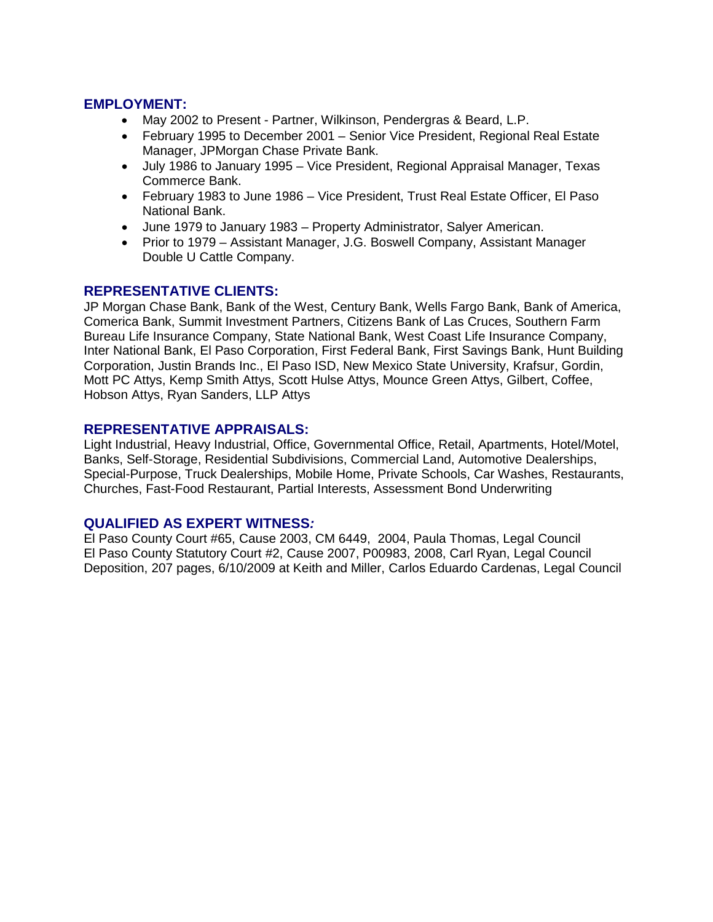# **EMPLOYMENT:**

- May 2002 to Present Partner, Wilkinson, Pendergras & Beard, L.P.
- February 1995 to December 2001 Senior Vice President, Regional Real Estate Manager, JPMorgan Chase Private Bank.
- July 1986 to January 1995 Vice President, Regional Appraisal Manager, Texas Commerce Bank.
- February 1983 to June 1986 Vice President, Trust Real Estate Officer, El Paso National Bank.
- June 1979 to January 1983 Property Administrator, Salyer American.
- Prior to 1979 Assistant Manager, J.G. Boswell Company, Assistant Manager Double U Cattle Company.

#### **REPRESENTATIVE CLIENTS:**

JP Morgan Chase Bank, Bank of the West, Century Bank, Wells Fargo Bank, Bank of America, Comerica Bank, Summit Investment Partners, Citizens Bank of Las Cruces, Southern Farm Bureau Life Insurance Company, State National Bank, West Coast Life Insurance Company, Inter National Bank, El Paso Corporation, First Federal Bank, First Savings Bank, Hunt Building Corporation, Justin Brands Inc., El Paso ISD, New Mexico State University, Krafsur, Gordin, Mott PC Attys, Kemp Smith Attys, Scott Hulse Attys, Mounce Green Attys, Gilbert, Coffee, Hobson Attys, Ryan Sanders, LLP Attys

#### **REPRESENTATIVE APPRAISALS:**

Light Industrial, Heavy Industrial, Office, Governmental Office, Retail, Apartments, Hotel/Motel, Banks, Self-Storage, Residential Subdivisions, Commercial Land, Automotive Dealerships, Special-Purpose, Truck Dealerships, Mobile Home, Private Schools, Car Washes, Restaurants, Churches, Fast-Food Restaurant, Partial Interests, Assessment Bond Underwriting

#### **QUALIFIED AS EXPERT WITNESS***:*

El Paso County Court #65, Cause 2003, CM 6449, 2004, Paula Thomas, Legal Council El Paso County Statutory Court #2, Cause 2007, P00983, 2008, Carl Ryan, Legal Council Deposition, 207 pages, 6/10/2009 at Keith and Miller, Carlos Eduardo Cardenas, Legal Council